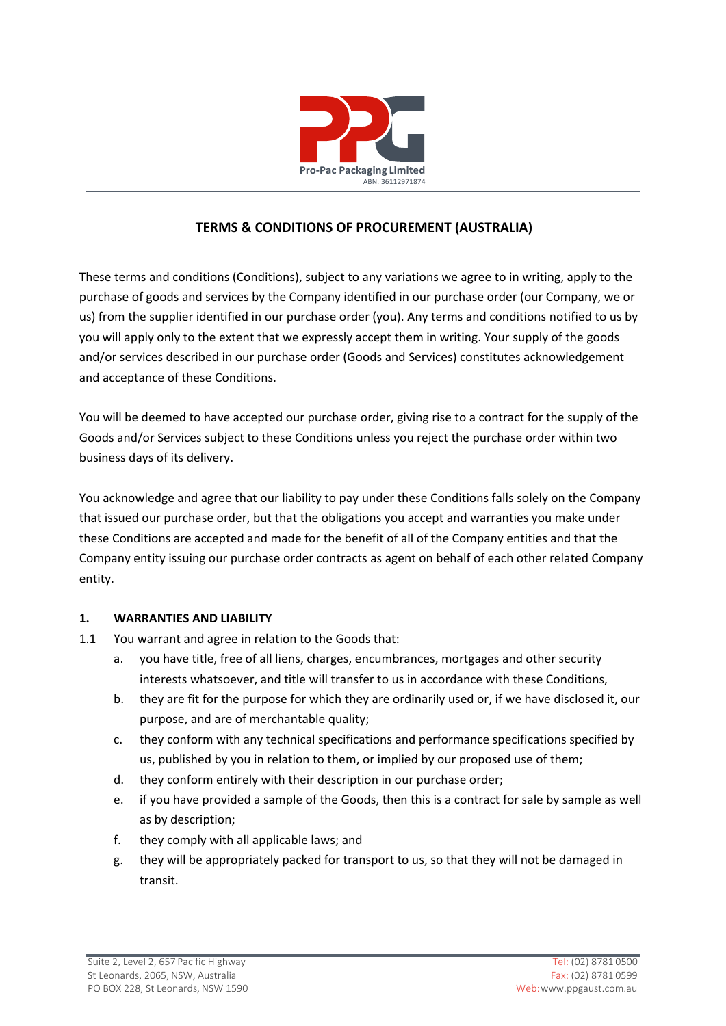

# **TERMS & CONDITIONS OF PROCUREMENT (AUSTRALIA)**

These terms and conditions (Conditions), subject to any variations we agree to in writing, apply to the purchase of goods and services by the Company identified in our purchase order (our Company, we or us) from the supplier identified in our purchase order (you). Any terms and conditions notified to us by you will apply only to the extent that we expressly accept them in writing. Your supply of the goods and/or services described in our purchase order (Goods and Services) constitutes acknowledgement and acceptance of these Conditions.

You will be deemed to have accepted our purchase order, giving rise to a contract for the supply of the Goods and/or Services subject to these Conditions unless you reject the purchase order within two business days of its delivery.

You acknowledge and agree that our liability to pay under these Conditions falls solely on the Company that issued our purchase order, but that the obligations you accept and warranties you make under these Conditions are accepted and made for the benefit of all of the Company entities and that the Company entity issuing our purchase order contracts as agent on behalf of each other related Company entity.

# **1. WARRANTIES AND LIABILITY**

- 1.1 You warrant and agree in relation to the Goods that:
	- a. you have title, free of all liens, charges, encumbrances, mortgages and other security interests whatsoever, and title will transfer to us in accordance with these Conditions,
	- b. they are fit for the purpose for which they are ordinarily used or, if we have disclosed it, our purpose, and are of merchantable quality;
	- c. they conform with any technical specifications and performance specifications specified by us, published by you in relation to them, or implied by our proposed use of them;
	- d. they conform entirely with their description in our purchase order;
	- e. if you have provided a sample of the Goods, then this is a contract for sale by sample as well as by description;
	- f. they comply with all applicable laws; and
	- g. they will be appropriately packed for transport to us, so that they will not be damaged in transit.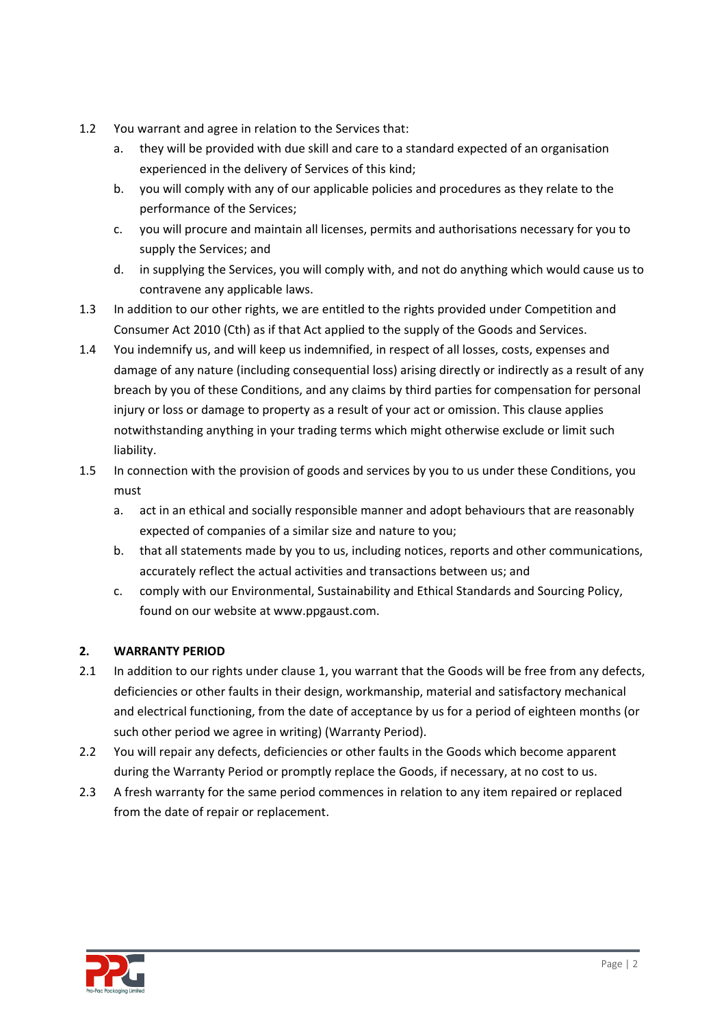- 1.2 You warrant and agree in relation to the Services that:
	- a. they will be provided with due skill and care to a standard expected of an organisation experienced in the delivery of Services of this kind;
	- b. you will comply with any of our applicable policies and procedures as they relate to the performance of the Services;
	- c. you will procure and maintain all licenses, permits and authorisations necessary for you to supply the Services; and
	- d. in supplying the Services, you will comply with, and not do anything which would cause us to contravene any applicable laws.
- 1.3 In addition to our other rights, we are entitled to the rights provided under Competition and Consumer Act 2010 (Cth) as if that Act applied to the supply of the Goods and Services.
- 1.4 You indemnify us, and will keep us indemnified, in respect of all losses, costs, expenses and damage of any nature (including consequential loss) arising directly or indirectly as a result of any breach by you of these Conditions, and any claims by third parties for compensation for personal injury or loss or damage to property as a result of your act or omission. This clause applies notwithstanding anything in your trading terms which might otherwise exclude or limit such liability.
- 1.5 In connection with the provision of goods and services by you to us under these Conditions, you must
	- a. act in an ethical and socially responsible manner and adopt behaviours that are reasonably expected of companies of a similar size and nature to you;
	- b. that all statements made by you to us, including notices, reports and other communications, accurately reflect the actual activities and transactions between us; and
	- c. comply with our Environmental, Sustainability and Ethical Standards and Sourcing Policy, found on our website at www.ppgaust.com.

# **2. WARRANTY PERIOD**

- 2.1 In addition to our rights under clause 1, you warrant that the Goods will be free from any defects, deficiencies or other faults in their design, workmanship, material and satisfactory mechanical and electrical functioning, from the date of acceptance by us for a period of eighteen months (or such other period we agree in writing) (Warranty Period).
- 2.2 You will repair any defects, deficiencies or other faults in the Goods which become apparent during the Warranty Period or promptly replace the Goods, if necessary, at no cost to us.
- 2.3 A fresh warranty for the same period commences in relation to any item repaired or replaced from the date of repair or replacement.

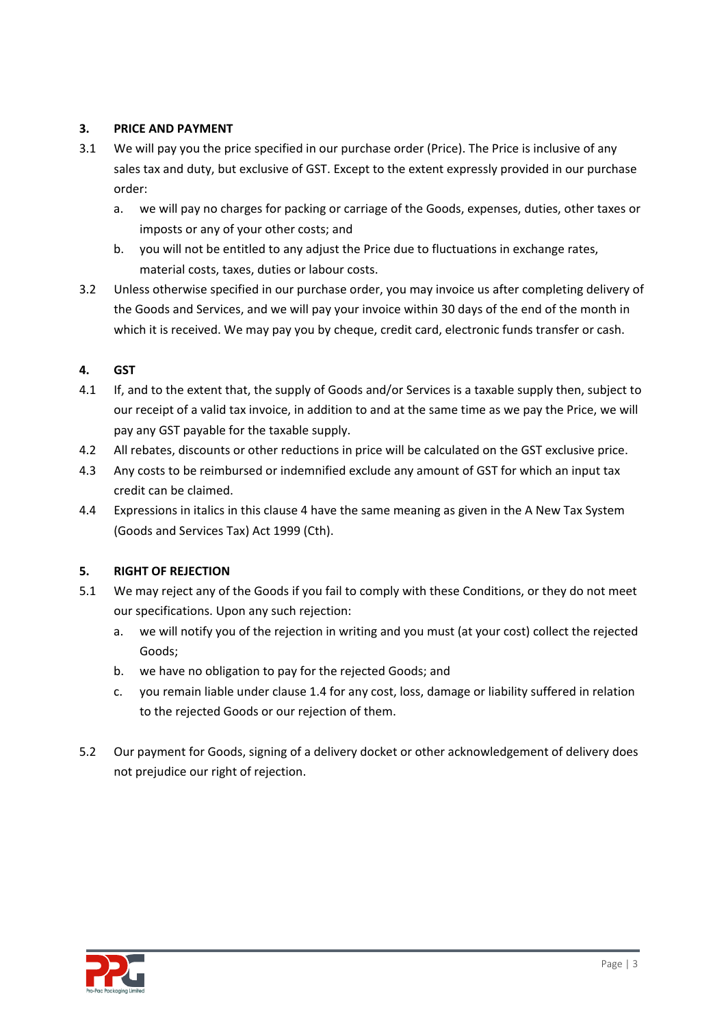### **3. PRICE AND PAYMENT**

- 3.1 We will pay you the price specified in our purchase order (Price). The Price is inclusive of any sales tax and duty, but exclusive of GST. Except to the extent expressly provided in our purchase order:
	- a. we will pay no charges for packing or carriage of the Goods, expenses, duties, other taxes or imposts or any of your other costs; and
	- b. you will not be entitled to any adjust the Price due to fluctuations in exchange rates, material costs, taxes, duties or labour costs.
- 3.2 Unless otherwise specified in our purchase order, you may invoice us after completing delivery of the Goods and Services, and we will pay your invoice within 30 days of the end of the month in which it is received. We may pay you by cheque, credit card, electronic funds transfer or cash.

### **4. GST**

- 4.1 If, and to the extent that, the supply of Goods and/or Services is a taxable supply then, subject to our receipt of a valid tax invoice, in addition to and at the same time as we pay the Price, we will pay any GST payable for the taxable supply.
- 4.2 All rebates, discounts or other reductions in price will be calculated on the GST exclusive price.
- 4.3 Any costs to be reimbursed or indemnified exclude any amount of GST for which an input tax credit can be claimed.
- 4.4 Expressions in italics in this clause 4 have the same meaning as given in the A New Tax System (Goods and Services Tax) Act 1999 (Cth).

### **5. RIGHT OF REJECTION**

- 5.1 We may reject any of the Goods if you fail to comply with these Conditions, or they do not meet our specifications. Upon any such rejection:
	- a. we will notify you of the rejection in writing and you must (at your cost) collect the rejected Goods;
	- b. we have no obligation to pay for the rejected Goods; and
	- c. you remain liable under clause 1.4 for any cost, loss, damage or liability suffered in relation to the rejected Goods or our rejection of them.
- 5.2 Our payment for Goods, signing of a delivery docket or other acknowledgement of delivery does not prejudice our right of rejection.

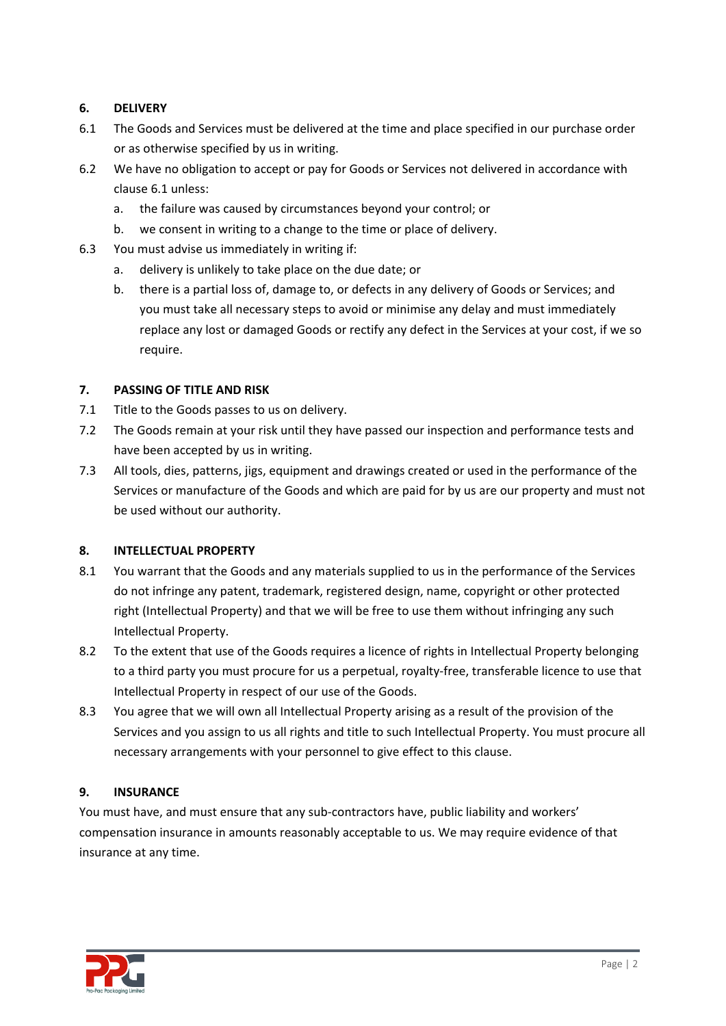### **6. DELIVERY**

- 6.1 The Goods and Services must be delivered at the time and place specified in our purchase order or as otherwise specified by us in writing.
- 6.2 We have no obligation to accept or pay for Goods or Services not delivered in accordance with clause 6.1 unless:
	- a. the failure was caused by circumstances beyond your control; or
	- b. we consent in writing to a change to the time or place of delivery.
- 6.3 You must advise us immediately in writing if:
	- a. delivery is unlikely to take place on the due date; or
	- b. there is a partial loss of, damage to, or defects in any delivery of Goods or Services; and you must take all necessary steps to avoid or minimise any delay and must immediately replace any lost or damaged Goods or rectify any defect in the Services at your cost, if we so require.

### **7. PASSING OF TITLE AND RISK**

- 7.1 Title to the Goods passes to us on delivery.
- 7.2 The Goods remain at your risk until they have passed our inspection and performance tests and have been accepted by us in writing.
- 7.3 All tools, dies, patterns, jigs, equipment and drawings created or used in the performance of the Services or manufacture of the Goods and which are paid for by us are our property and must not be used without our authority.

### **8. INTELLECTUAL PROPERTY**

- 8.1 You warrant that the Goods and any materials supplied to us in the performance of the Services do not infringe any patent, trademark, registered design, name, copyright or other protected right (Intellectual Property) and that we will be free to use them without infringing any such Intellectual Property.
- 8.2 To the extent that use of the Goods requires a licence of rights in Intellectual Property belonging to a third party you must procure for us a perpetual, royalty-free, transferable licence to use that Intellectual Property in respect of our use of the Goods.
- 8.3 You agree that we will own all Intellectual Property arising as a result of the provision of the Services and you assign to us all rights and title to such Intellectual Property. You must procure all necessary arrangements with your personnel to give effect to this clause.

### **9. INSURANCE**

You must have, and must ensure that any sub-contractors have, public liability and workers' compensation insurance in amounts reasonably acceptable to us. We may require evidence of that insurance at any time.